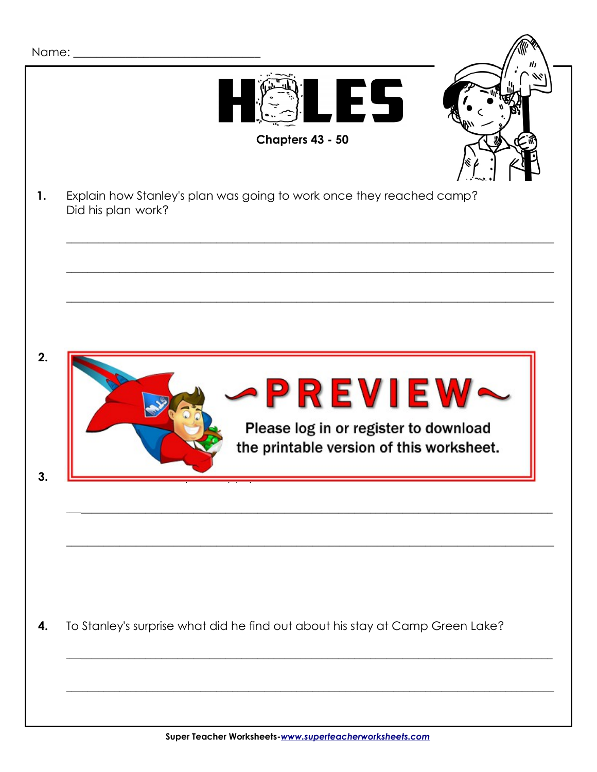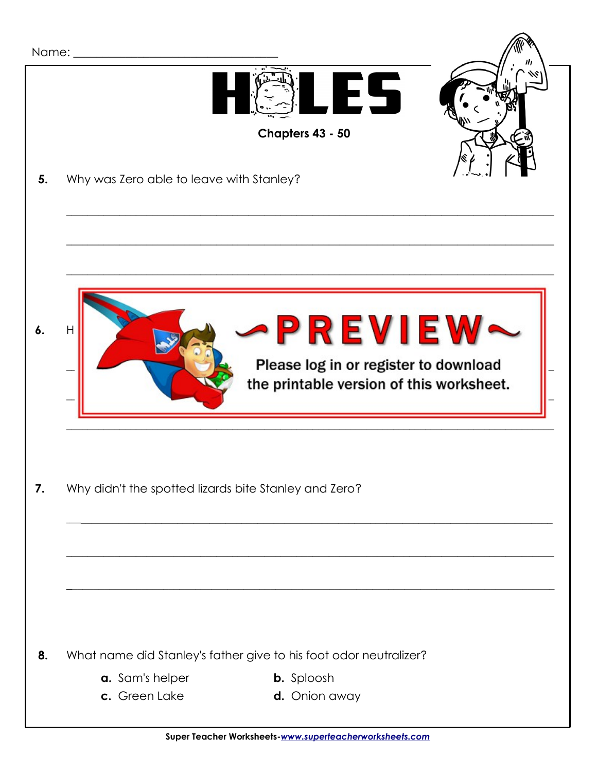|    | Name: when the contract of the contract of the contract of the contract of the contract of the contract of the contract of the contract of the contract of the contract of the contract of the contract of the contract of the |
|----|--------------------------------------------------------------------------------------------------------------------------------------------------------------------------------------------------------------------------------|
|    | ES<br>$\sim$                                                                                                                                                                                                                   |
|    | Chapters 43 - 50                                                                                                                                                                                                               |
| 5. | Why was Zero able to leave with Stanley?                                                                                                                                                                                       |
|    |                                                                                                                                                                                                                                |
| 6. | <b>-PREVIEW</b><br>H<br>Please log in or register to download<br>the printable version of this worksheet.                                                                                                                      |
| 7. | Why didn't the spotted lizards bite Stanley and Zero?                                                                                                                                                                          |
| 8. | What name did Stanley's father give to his foot odor neutralizer?                                                                                                                                                              |
|    | a. Sam's helper<br><b>b.</b> Sploosh<br>c. Green Lake<br>d. Onion away                                                                                                                                                         |

Super Teacher Worksheets-www.superteacherworksheets.com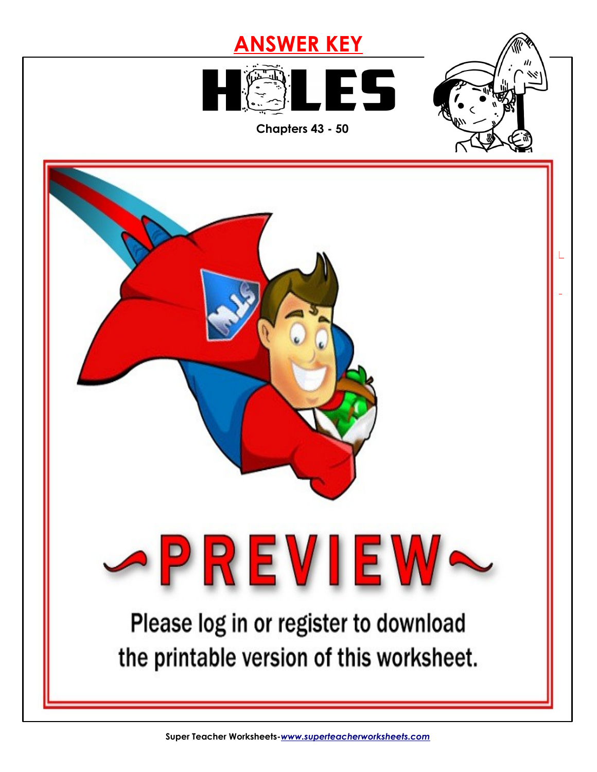

**Super Teacher Worksheets-***www.superteacherworksheets.com*